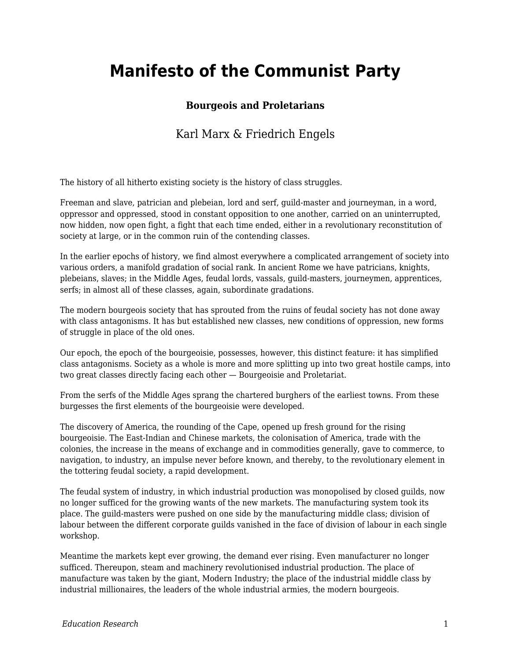## **Manifesto of the Communist Party**

## **Bourgeois and Proletarians**

## Karl Marx & Friedrich Engels

The history of all hitherto existing society is the history of class struggles.

Freeman and slave, patrician and plebeian, lord and serf, guild-master and journeyman, in a word, oppressor and oppressed, stood in constant opposition to one another, carried on an uninterrupted, now hidden, now open fight, a fight that each time ended, either in a revolutionary reconstitution of society at large, or in the common ruin of the contending classes.

In the earlier epochs of history, we find almost everywhere a complicated arrangement of society into various orders, a manifold gradation of social rank. In ancient Rome we have patricians, knights, plebeians, slaves; in the Middle Ages, feudal lords, vassals, guild-masters, journeymen, apprentices, serfs; in almost all of these classes, again, subordinate gradations.

The modern bourgeois society that has sprouted from the ruins of feudal society has not done away with class antagonisms. It has but established new classes, new conditions of oppression, new forms of struggle in place of the old ones.

Our epoch, the epoch of the bourgeoisie, possesses, however, this distinct feature: it has simplified class antagonisms. Society as a whole is more and more splitting up into two great hostile camps, into two great classes directly facing each other — Bourgeoisie and Proletariat.

From the serfs of the Middle Ages sprang the chartered burghers of the earliest towns. From these burgesses the first elements of the bourgeoisie were developed.

The discovery of America, the rounding of the Cape, opened up fresh ground for the rising bourgeoisie. The East-Indian and Chinese markets, the colonisation of America, trade with the colonies, the increase in the means of exchange and in commodities generally, gave to commerce, to navigation, to industry, an impulse never before known, and thereby, to the revolutionary element in the tottering feudal society, a rapid development.

The feudal system of industry, in which industrial production was monopolised by closed guilds, now no longer sufficed for the growing wants of the new markets. The manufacturing system took its place. The guild-masters were pushed on one side by the manufacturing middle class; division of labour between the different corporate guilds vanished in the face of division of labour in each single workshop.

Meantime the markets kept ever growing, the demand ever rising. Even manufacturer no longer sufficed. Thereupon, steam and machinery revolutionised industrial production. The place of manufacture was taken by the giant, Modern Industry; the place of the industrial middle class by industrial millionaires, the leaders of the whole industrial armies, the modern bourgeois.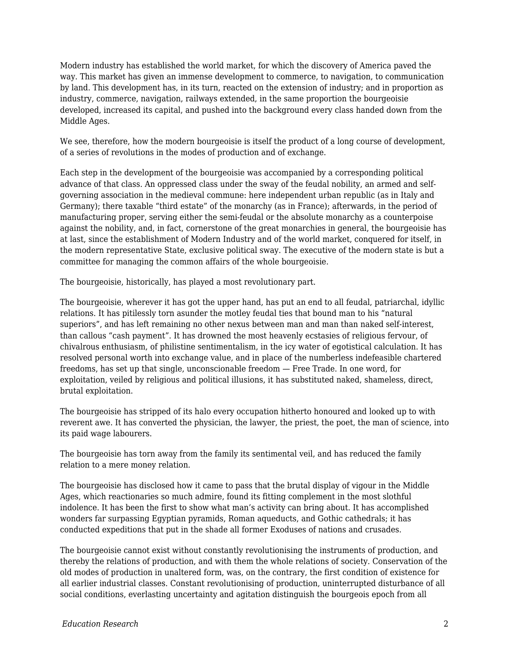Modern industry has established the world market, for which the discovery of America paved the way. This market has given an immense development to commerce, to navigation, to communication by land. This development has, in its turn, reacted on the extension of industry; and in proportion as industry, commerce, navigation, railways extended, in the same proportion the bourgeoisie developed, increased its capital, and pushed into the background every class handed down from the Middle Ages.

We see, therefore, how the modern bourgeoisie is itself the product of a long course of development, of a series of revolutions in the modes of production and of exchange.

Each step in the development of the bourgeoisie was accompanied by a corresponding political advance of that class. An oppressed class under the sway of the feudal nobility, an armed and selfgoverning association in the medieval commune: here independent urban republic (as in Italy and Germany); there taxable "third estate" of the monarchy (as in France); afterwards, in the period of manufacturing proper, serving either the semi-feudal or the absolute monarchy as a counterpoise against the nobility, and, in fact, cornerstone of the great monarchies in general, the bourgeoisie has at last, since the establishment of Modern Industry and of the world market, conquered for itself, in the modern representative State, exclusive political sway. The executive of the modern state is but a committee for managing the common affairs of the whole bourgeoisie.

The bourgeoisie, historically, has played a most revolutionary part.

The bourgeoisie, wherever it has got the upper hand, has put an end to all feudal, patriarchal, idyllic relations. It has pitilessly torn asunder the motley feudal ties that bound man to his "natural superiors", and has left remaining no other nexus between man and man than naked self-interest, than callous "cash payment". It has drowned the most heavenly ecstasies of religious fervour, of chivalrous enthusiasm, of philistine sentimentalism, in the icy water of egotistical calculation. It has resolved personal worth into exchange value, and in place of the numberless indefeasible chartered freedoms, has set up that single, unconscionable freedom — Free Trade. In one word, for exploitation, veiled by religious and political illusions, it has substituted naked, shameless, direct, brutal exploitation.

The bourgeoisie has stripped of its halo every occupation hitherto honoured and looked up to with reverent awe. It has converted the physician, the lawyer, the priest, the poet, the man of science, into its paid wage labourers.

The bourgeoisie has torn away from the family its sentimental veil, and has reduced the family relation to a mere money relation.

The bourgeoisie has disclosed how it came to pass that the brutal display of vigour in the Middle Ages, which reactionaries so much admire, found its fitting complement in the most slothful indolence. It has been the first to show what man's activity can bring about. It has accomplished wonders far surpassing Egyptian pyramids, Roman aqueducts, and Gothic cathedrals; it has conducted expeditions that put in the shade all former Exoduses of nations and crusades.

The bourgeoisie cannot exist without constantly revolutionising the instruments of production, and thereby the relations of production, and with them the whole relations of society. Conservation of the old modes of production in unaltered form, was, on the contrary, the first condition of existence for all earlier industrial classes. Constant revolutionising of production, uninterrupted disturbance of all social conditions, everlasting uncertainty and agitation distinguish the bourgeois epoch from all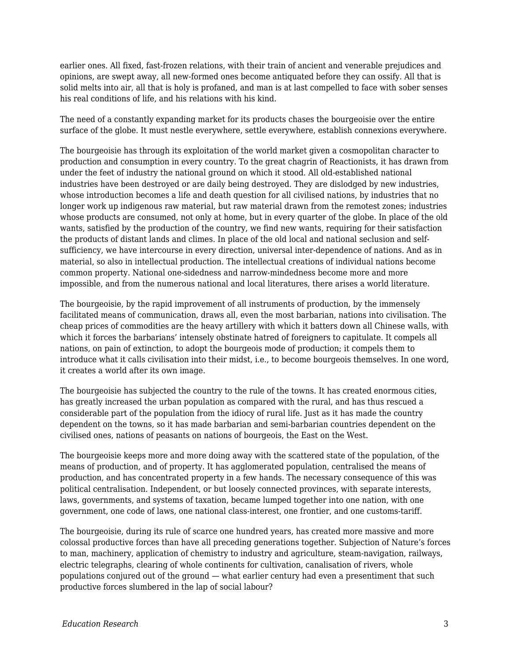earlier ones. All fixed, fast-frozen relations, with their train of ancient and venerable prejudices and opinions, are swept away, all new-formed ones become antiquated before they can ossify. All that is solid melts into air, all that is holy is profaned, and man is at last compelled to face with sober senses his real conditions of life, and his relations with his kind.

The need of a constantly expanding market for its products chases the bourgeoisie over the entire surface of the globe. It must nestle everywhere, settle everywhere, establish connexions everywhere.

The bourgeoisie has through its exploitation of the world market given a cosmopolitan character to production and consumption in every country. To the great chagrin of Reactionists, it has drawn from under the feet of industry the national ground on which it stood. All old-established national industries have been destroyed or are daily being destroyed. They are dislodged by new industries, whose introduction becomes a life and death question for all civilised nations, by industries that no longer work up indigenous raw material, but raw material drawn from the remotest zones; industries whose products are consumed, not only at home, but in every quarter of the globe. In place of the old wants, satisfied by the production of the country, we find new wants, requiring for their satisfaction the products of distant lands and climes. In place of the old local and national seclusion and selfsufficiency, we have intercourse in every direction, universal inter-dependence of nations. And as in material, so also in intellectual production. The intellectual creations of individual nations become common property. National one-sidedness and narrow-mindedness become more and more impossible, and from the numerous national and local literatures, there arises a world literature.

The bourgeoisie, by the rapid improvement of all instruments of production, by the immensely facilitated means of communication, draws all, even the most barbarian, nations into civilisation. The cheap prices of commodities are the heavy artillery with which it batters down all Chinese walls, with which it forces the barbarians' intensely obstinate hatred of foreigners to capitulate. It compels all nations, on pain of extinction, to adopt the bourgeois mode of production; it compels them to introduce what it calls civilisation into their midst, i.e., to become bourgeois themselves. In one word, it creates a world after its own image.

The bourgeoisie has subjected the country to the rule of the towns. It has created enormous cities, has greatly increased the urban population as compared with the rural, and has thus rescued a considerable part of the population from the idiocy of rural life. Just as it has made the country dependent on the towns, so it has made barbarian and semi-barbarian countries dependent on the civilised ones, nations of peasants on nations of bourgeois, the East on the West.

The bourgeoisie keeps more and more doing away with the scattered state of the population, of the means of production, and of property. It has agglomerated population, centralised the means of production, and has concentrated property in a few hands. The necessary consequence of this was political centralisation. Independent, or but loosely connected provinces, with separate interests, laws, governments, and systems of taxation, became lumped together into one nation, with one government, one code of laws, one national class-interest, one frontier, and one customs-tariff.

The bourgeoisie, during its rule of scarce one hundred years, has created more massive and more colossal productive forces than have all preceding generations together. Subjection of Nature's forces to man, machinery, application of chemistry to industry and agriculture, steam-navigation, railways, electric telegraphs, clearing of whole continents for cultivation, canalisation of rivers, whole populations conjured out of the ground — what earlier century had even a presentiment that such productive forces slumbered in the lap of social labour?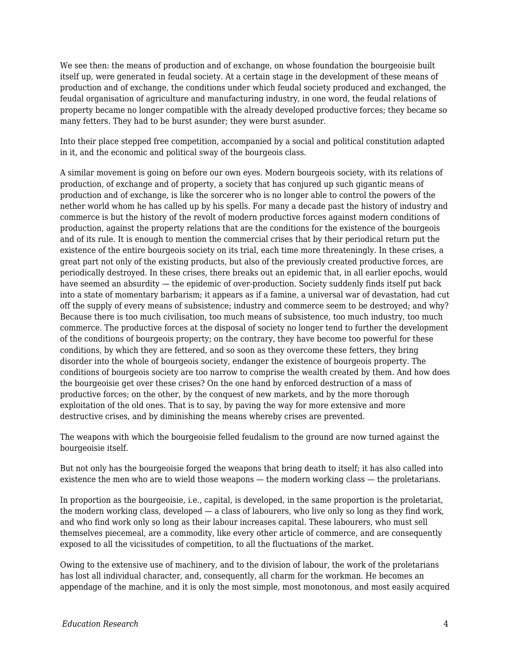We see then: the means of production and of exchange, on whose foundation the bourgeoisie built itself up, were generated in feudal society. At a certain stage in the development of these means of production and of exchange, the conditions under which feudal society produced and exchanged, the feudal organisation of agriculture and manufacturing industry, in one word, the feudal relations of property became no longer compatible with the already developed productive forces; they became so many fetters. They had to be burst asunder; they were burst asunder.

Into their place stepped free competition, accompanied by a social and political constitution adapted in it, and the economic and political sway of the bourgeois class.

A similar movement is going on before our own eyes. Modern bourgeois society, with its relations of production, of exchange and of property, a society that has conjured up such gigantic means of production and of exchange, is like the sorcerer who is no longer able to control the powers of the nether world whom he has called up by his spells. For many a decade past the history of industry and commerce is but the history of the revolt of modern productive forces against modern conditions of production, against the property relations that are the conditions for the existence of the bourgeois and of its rule. It is enough to mention the commercial crises that by their periodical return put the existence of the entire bourgeois society on its trial, each time more threateningly. In these crises, a great part not only of the existing products, but also of the previously created productive forces, are periodically destroyed. In these crises, there breaks out an epidemic that, in all earlier epochs, would have seemed an absurdity — the epidemic of over-production. Society suddenly finds itself put back into a state of momentary barbarism; it appears as if a famine, a universal war of devastation, had cut off the supply of every means of subsistence; industry and commerce seem to be destroyed; and why? Because there is too much civilisation, too much means of subsistence, too much industry, too much commerce. The productive forces at the disposal of society no longer tend to further the development of the conditions of bourgeois property; on the contrary, they have become too powerful for these conditions, by which they are fettered, and so soon as they overcome these fetters, they bring disorder into the whole of bourgeois society, endanger the existence of bourgeois property. The conditions of bourgeois society are too narrow to comprise the wealth created by them. And how does the bourgeoisie get over these crises? On the one hand by enforced destruction of a mass of productive forces; on the other, by the conquest of new markets, and by the more thorough exploitation of the old ones. That is to say, by paving the way for more extensive and more destructive crises, and by diminishing the means whereby crises are prevented.

The weapons with which the bourgeoisie felled feudalism to the ground are now turned against the bourgeoisie itself.

But not only has the bourgeoisie forged the weapons that bring death to itself; it has also called into existence the men who are to wield those weapons — the modern working class — the proletarians.

In proportion as the bourgeoisie, i.e., capital, is developed, in the same proportion is the proletariat, the modern working class, developed — a class of labourers, who live only so long as they find work, and who find work only so long as their labour increases capital. These labourers, who must sell themselves piecemeal, are a commodity, like every other article of commerce, and are consequently exposed to all the vicissitudes of competition, to all the fluctuations of the market.

Owing to the extensive use of machinery, and to the division of labour, the work of the proletarians has lost all individual character, and, consequently, all charm for the workman. He becomes an appendage of the machine, and it is only the most simple, most monotonous, and most easily acquired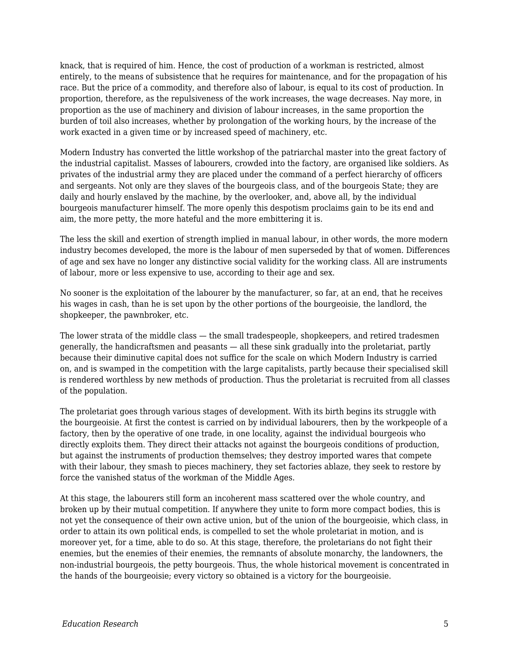knack, that is required of him. Hence, the cost of production of a workman is restricted, almost entirely, to the means of subsistence that he requires for maintenance, and for the propagation of his race. But the price of a commodity, and therefore also of labour, is equal to its cost of production. In proportion, therefore, as the repulsiveness of the work increases, the wage decreases. Nay more, in proportion as the use of machinery and division of labour increases, in the same proportion the burden of toil also increases, whether by prolongation of the working hours, by the increase of the work exacted in a given time or by increased speed of machinery, etc.

Modern Industry has converted the little workshop of the patriarchal master into the great factory of the industrial capitalist. Masses of labourers, crowded into the factory, are organised like soldiers. As privates of the industrial army they are placed under the command of a perfect hierarchy of officers and sergeants. Not only are they slaves of the bourgeois class, and of the bourgeois State; they are daily and hourly enslaved by the machine, by the overlooker, and, above all, by the individual bourgeois manufacturer himself. The more openly this despotism proclaims gain to be its end and aim, the more petty, the more hateful and the more embittering it is.

The less the skill and exertion of strength implied in manual labour, in other words, the more modern industry becomes developed, the more is the labour of men superseded by that of women. Differences of age and sex have no longer any distinctive social validity for the working class. All are instruments of labour, more or less expensive to use, according to their age and sex.

No sooner is the exploitation of the labourer by the manufacturer, so far, at an end, that he receives his wages in cash, than he is set upon by the other portions of the bourgeoisie, the landlord, the shopkeeper, the pawnbroker, etc.

The lower strata of the middle class — the small tradespeople, shopkeepers, and retired tradesmen generally, the handicraftsmen and peasants — all these sink gradually into the proletariat, partly because their diminutive capital does not suffice for the scale on which Modern Industry is carried on, and is swamped in the competition with the large capitalists, partly because their specialised skill is rendered worthless by new methods of production. Thus the proletariat is recruited from all classes of the population.

The proletariat goes through various stages of development. With its birth begins its struggle with the bourgeoisie. At first the contest is carried on by individual labourers, then by the workpeople of a factory, then by the operative of one trade, in one locality, against the individual bourgeois who directly exploits them. They direct their attacks not against the bourgeois conditions of production, but against the instruments of production themselves; they destroy imported wares that compete with their labour, they smash to pieces machinery, they set factories ablaze, they seek to restore by force the vanished status of the workman of the Middle Ages.

At this stage, the labourers still form an incoherent mass scattered over the whole country, and broken up by their mutual competition. If anywhere they unite to form more compact bodies, this is not yet the consequence of their own active union, but of the union of the bourgeoisie, which class, in order to attain its own political ends, is compelled to set the whole proletariat in motion, and is moreover yet, for a time, able to do so. At this stage, therefore, the proletarians do not fight their enemies, but the enemies of their enemies, the remnants of absolute monarchy, the landowners, the non-industrial bourgeois, the petty bourgeois. Thus, the whole historical movement is concentrated in the hands of the bourgeoisie; every victory so obtained is a victory for the bourgeoisie.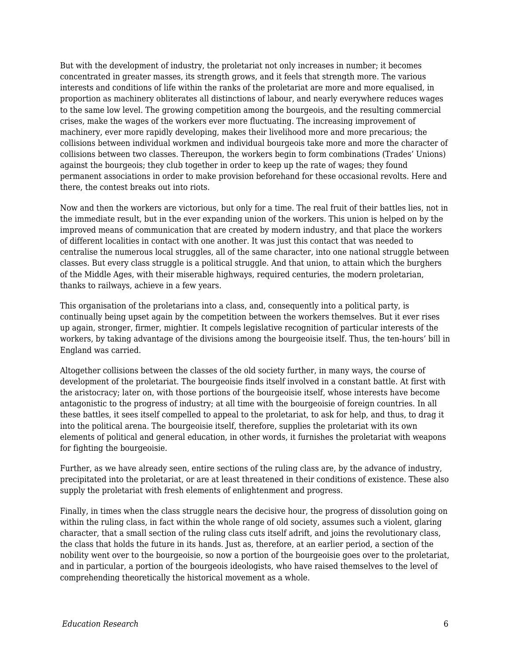But with the development of industry, the proletariat not only increases in number; it becomes concentrated in greater masses, its strength grows, and it feels that strength more. The various interests and conditions of life within the ranks of the proletariat are more and more equalised, in proportion as machinery obliterates all distinctions of labour, and nearly everywhere reduces wages to the same low level. The growing competition among the bourgeois, and the resulting commercial crises, make the wages of the workers ever more fluctuating. The increasing improvement of machinery, ever more rapidly developing, makes their livelihood more and more precarious; the collisions between individual workmen and individual bourgeois take more and more the character of collisions between two classes. Thereupon, the workers begin to form combinations (Trades' Unions) against the bourgeois; they club together in order to keep up the rate of wages; they found permanent associations in order to make provision beforehand for these occasional revolts. Here and there, the contest breaks out into riots.

Now and then the workers are victorious, but only for a time. The real fruit of their battles lies, not in the immediate result, but in the ever expanding union of the workers. This union is helped on by the improved means of communication that are created by modern industry, and that place the workers of different localities in contact with one another. It was just this contact that was needed to centralise the numerous local struggles, all of the same character, into one national struggle between classes. But every class struggle is a political struggle. And that union, to attain which the burghers of the Middle Ages, with their miserable highways, required centuries, the modern proletarian, thanks to railways, achieve in a few years.

This organisation of the proletarians into a class, and, consequently into a political party, is continually being upset again by the competition between the workers themselves. But it ever rises up again, stronger, firmer, mightier. It compels legislative recognition of particular interests of the workers, by taking advantage of the divisions among the bourgeoisie itself. Thus, the ten-hours' bill in England was carried.

Altogether collisions between the classes of the old society further, in many ways, the course of development of the proletariat. The bourgeoisie finds itself involved in a constant battle. At first with the aristocracy; later on, with those portions of the bourgeoisie itself, whose interests have become antagonistic to the progress of industry; at all time with the bourgeoisie of foreign countries. In all these battles, it sees itself compelled to appeal to the proletariat, to ask for help, and thus, to drag it into the political arena. The bourgeoisie itself, therefore, supplies the proletariat with its own elements of political and general education, in other words, it furnishes the proletariat with weapons for fighting the bourgeoisie.

Further, as we have already seen, entire sections of the ruling class are, by the advance of industry, precipitated into the proletariat, or are at least threatened in their conditions of existence. These also supply the proletariat with fresh elements of enlightenment and progress.

Finally, in times when the class struggle nears the decisive hour, the progress of dissolution going on within the ruling class, in fact within the whole range of old society, assumes such a violent, glaring character, that a small section of the ruling class cuts itself adrift, and joins the revolutionary class, the class that holds the future in its hands. Just as, therefore, at an earlier period, a section of the nobility went over to the bourgeoisie, so now a portion of the bourgeoisie goes over to the proletariat, and in particular, a portion of the bourgeois ideologists, who have raised themselves to the level of comprehending theoretically the historical movement as a whole.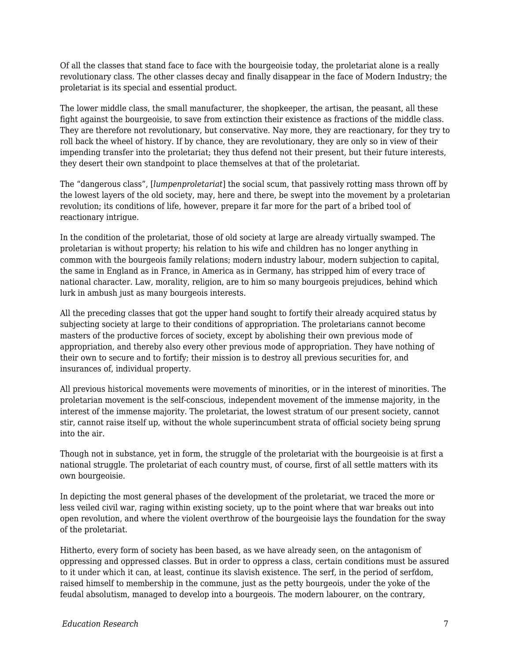Of all the classes that stand face to face with the bourgeoisie today, the proletariat alone is a really revolutionary class. The other classes decay and finally disappear in the face of Modern Industry; the proletariat is its special and essential product.

The lower middle class, the small manufacturer, the shopkeeper, the artisan, the peasant, all these fight against the bourgeoisie, to save from extinction their existence as fractions of the middle class. They are therefore not revolutionary, but conservative. Nay more, they are reactionary, for they try to roll back the wheel of history. If by chance, they are revolutionary, they are only so in view of their impending transfer into the proletariat; they thus defend not their present, but their future interests, they desert their own standpoint to place themselves at that of the proletariat.

The "dangerous class", [*lumpenproletariat*] the social scum, that passively rotting mass thrown off by the lowest layers of the old society, may, here and there, be swept into the movement by a proletarian revolution; its conditions of life, however, prepare it far more for the part of a bribed tool of reactionary intrigue.

In the condition of the proletariat, those of old society at large are already virtually swamped. The proletarian is without property; his relation to his wife and children has no longer anything in common with the bourgeois family relations; modern industry labour, modern subjection to capital, the same in England as in France, in America as in Germany, has stripped him of every trace of national character. Law, morality, religion, are to him so many bourgeois prejudices, behind which lurk in ambush just as many bourgeois interests.

All the preceding classes that got the upper hand sought to fortify their already acquired status by subjecting society at large to their conditions of appropriation. The proletarians cannot become masters of the productive forces of society, except by abolishing their own previous mode of appropriation, and thereby also every other previous mode of appropriation. They have nothing of their own to secure and to fortify; their mission is to destroy all previous securities for, and insurances of, individual property.

All previous historical movements were movements of minorities, or in the interest of minorities. The proletarian movement is the self-conscious, independent movement of the immense majority, in the interest of the immense majority. The proletariat, the lowest stratum of our present society, cannot stir, cannot raise itself up, without the whole superincumbent strata of official society being sprung into the air.

Though not in substance, yet in form, the struggle of the proletariat with the bourgeoisie is at first a national struggle. The proletariat of each country must, of course, first of all settle matters with its own bourgeoisie.

In depicting the most general phases of the development of the proletariat, we traced the more or less veiled civil war, raging within existing society, up to the point where that war breaks out into open revolution, and where the violent overthrow of the bourgeoisie lays the foundation for the sway of the proletariat.

Hitherto, every form of society has been based, as we have already seen, on the antagonism of oppressing and oppressed classes. But in order to oppress a class, certain conditions must be assured to it under which it can, at least, continue its slavish existence. The serf, in the period of serfdom, raised himself to membership in the commune, just as the petty bourgeois, under the yoke of the feudal absolutism, managed to develop into a bourgeois. The modern labourer, on the contrary,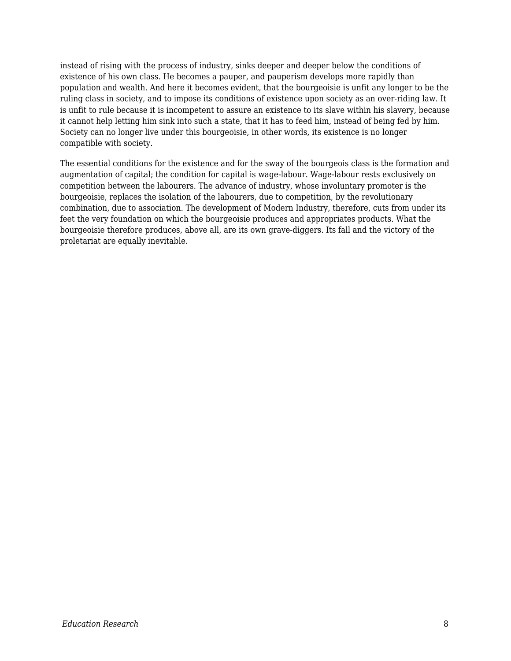instead of rising with the process of industry, sinks deeper and deeper below the conditions of existence of his own class. He becomes a pauper, and pauperism develops more rapidly than population and wealth. And here it becomes evident, that the bourgeoisie is unfit any longer to be the ruling class in society, and to impose its conditions of existence upon society as an over-riding law. It is unfit to rule because it is incompetent to assure an existence to its slave within his slavery, because it cannot help letting him sink into such a state, that it has to feed him, instead of being fed by him. Society can no longer live under this bourgeoisie, in other words, its existence is no longer compatible with society.

The essential conditions for the existence and for the sway of the bourgeois class is the formation and augmentation of capital; the condition for capital is wage-labour. Wage-labour rests exclusively on competition between the labourers. The advance of industry, whose involuntary promoter is the bourgeoisie, replaces the isolation of the labourers, due to competition, by the revolutionary combination, due to association. The development of Modern Industry, therefore, cuts from under its feet the very foundation on which the bourgeoisie produces and appropriates products. What the bourgeoisie therefore produces, above all, are its own grave-diggers. Its fall and the victory of the proletariat are equally inevitable.